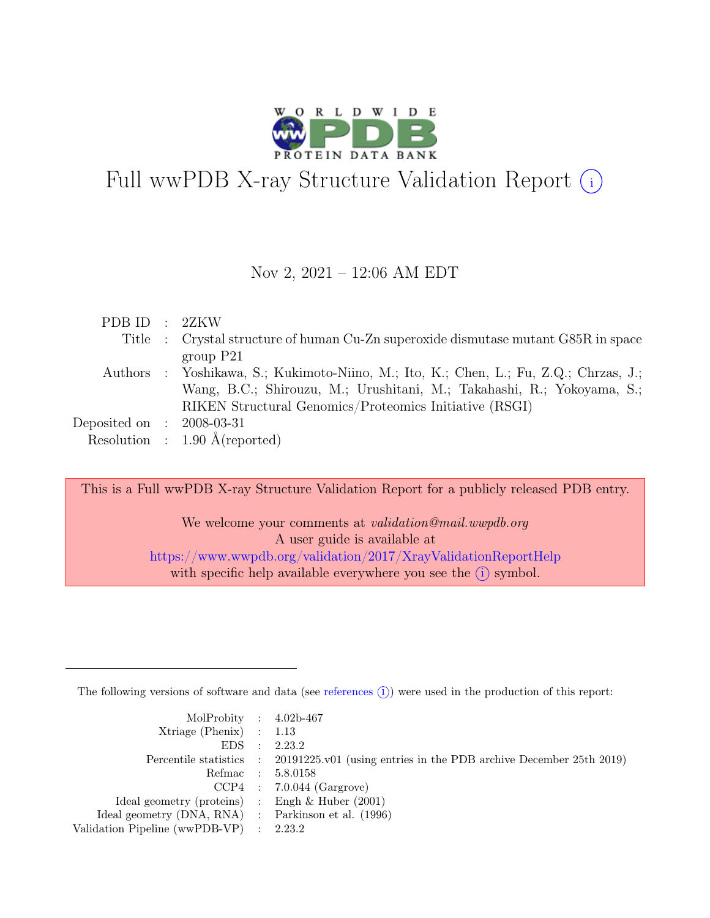

# Full wwPDB X-ray Structure Validation Report  $(i)$

#### Nov 2, 2021 – 12:06 AM EDT

| PDB ID : 2ZKW               |                                                                                       |
|-----------------------------|---------------------------------------------------------------------------------------|
|                             | Title : Crystal structure of human Cu-Zn superoxide dismutase mutant G85R in space    |
|                             | group P21                                                                             |
|                             | Authors : Yoshikawa, S.; Kukimoto-Niino, M.; Ito, K.; Chen, L.; Fu, Z.Q.; Chrzas, J.; |
|                             | Wang, B.C.; Shirouzu, M.; Urushitani, M.; Takahashi, R.; Yokoyama, S.;                |
|                             | RIKEN Structural Genomics/Proteomics Initiative (RSGI)                                |
| Deposited on : $2008-03-31$ |                                                                                       |
|                             | Resolution : $1.90 \text{ Å}$ (reported)                                              |

This is a Full wwPDB X-ray Structure Validation Report for a publicly released PDB entry.

We welcome your comments at validation@mail.wwpdb.org A user guide is available at <https://www.wwpdb.org/validation/2017/XrayValidationReportHelp> with specific help available everywhere you see the  $(i)$  symbol.

The following versions of software and data (see [references](https://www.wwpdb.org/validation/2017/XrayValidationReportHelp#references)  $(i)$ ) were used in the production of this report:

| MolProbity : $4.02b-467$                            |                                                                                            |
|-----------------------------------------------------|--------------------------------------------------------------------------------------------|
| $Xtriangle (Phenix)$ : 1.13                         |                                                                                            |
|                                                     | EDS : 2.23.2                                                                               |
|                                                     | Percentile statistics : 20191225.v01 (using entries in the PDB archive December 25th 2019) |
|                                                     | Refmac : 5.8.0158                                                                          |
|                                                     | $CCP4$ : 7.0.044 (Gargrove)                                                                |
| Ideal geometry (proteins) : Engh $\&$ Huber (2001)  |                                                                                            |
| Ideal geometry (DNA, RNA) : Parkinson et al. (1996) |                                                                                            |
| Validation Pipeline (wwPDB-VP) : $2.23.2$           |                                                                                            |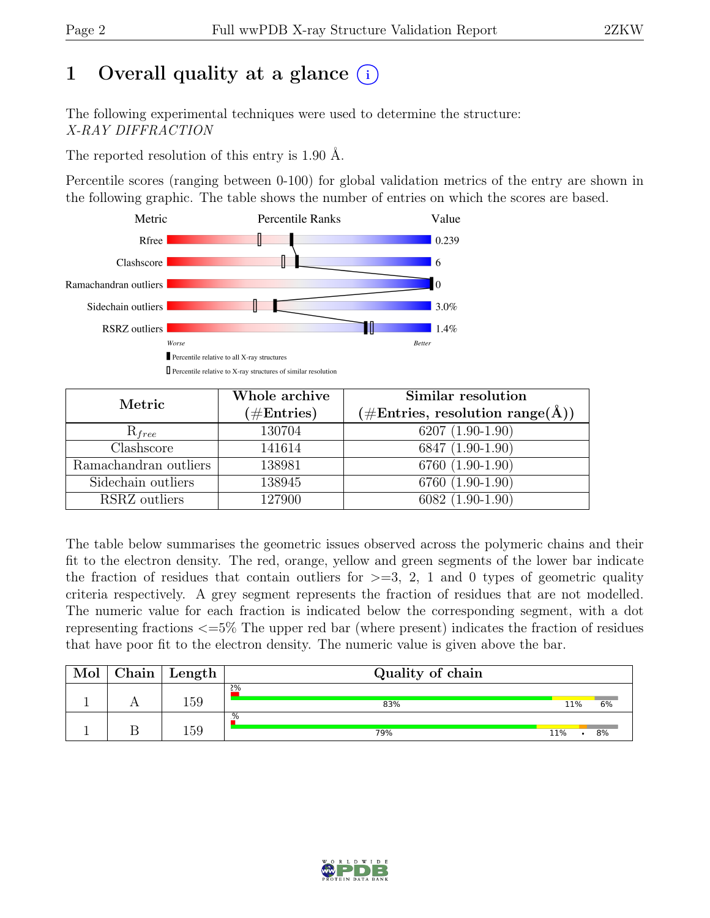# 1 Overall quality at a glance  $(i)$

The following experimental techniques were used to determine the structure: X-RAY DIFFRACTION

The reported resolution of this entry is 1.90 Å.

Percentile scores (ranging between 0-100) for global validation metrics of the entry are shown in the following graphic. The table shows the number of entries on which the scores are based.



| Metric                | Whole archive<br>$(\#Entries)$ | Similar resolution<br>$(\# \text{Entries}, \text{ resolution range}(\AA))$ |  |  |
|-----------------------|--------------------------------|----------------------------------------------------------------------------|--|--|
| $R_{free}$            | 130704                         | $6207(1.90-1.90)$                                                          |  |  |
| Clashscore            | 141614                         | 6847 (1.90-1.90)                                                           |  |  |
| Ramachandran outliers | 138981                         | 6760 (1.90-1.90)                                                           |  |  |
| Sidechain outliers    | 138945                         | 6760 (1.90-1.90)                                                           |  |  |
| RSRZ outliers         | 127900                         | 6082 (1.90-1.90)                                                           |  |  |

The table below summarises the geometric issues observed across the polymeric chains and their fit to the electron density. The red, orange, yellow and green segments of the lower bar indicate the fraction of residues that contain outliers for  $\geq$ =3, 2, 1 and 0 types of geometric quality criteria respectively. A grey segment represents the fraction of residues that are not modelled. The numeric value for each fraction is indicated below the corresponding segment, with a dot representing fractions <=5% The upper red bar (where present) indicates the fraction of residues that have poor fit to the electron density. The numeric value is given above the bar.

| Mol | ${\rm Chain}$ | Length | Quality of chain |           |
|-----|---------------|--------|------------------|-----------|
|     |               | 159    | 2%<br>83%        | 6%<br>11% |
|     |               | 159    | .%<br>79%        | 8%<br>11% |

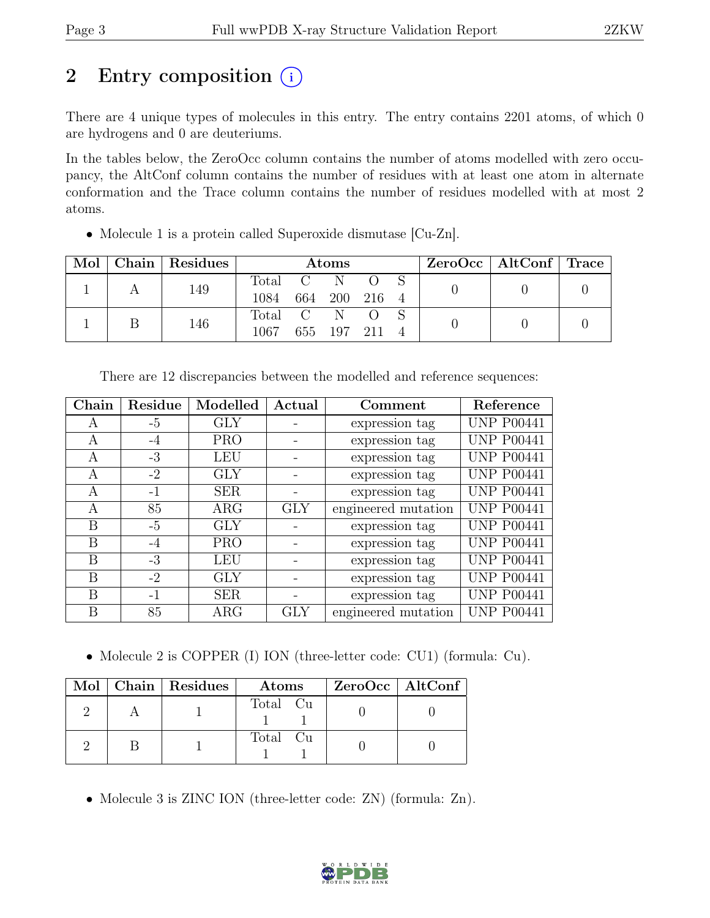# 2 Entry composition  $(i)$

There are 4 unique types of molecules in this entry. The entry contains 2201 atoms, of which 0 are hydrogens and 0 are deuteriums.

In the tables below, the ZeroOcc column contains the number of atoms modelled with zero occupancy, the AltConf column contains the number of residues with at least one atom in alternate conformation and the Trace column contains the number of residues modelled with at most 2 atoms.

| Mol |  | Chain   Residues | Atoms     |               |    |  |  | ZeroOcc   AltConf   Trace |  |
|-----|--|------------------|-----------|---------------|----|--|--|---------------------------|--|
|     |  | 149              | Total C N |               |    |  |  |                           |  |
|     |  | 1084             |           | 664 200 216 4 |    |  |  |                           |  |
|     |  | 146              | Total C   |               | N. |  |  |                           |  |
|     |  | 1067             |           | 655 197       |    |  |  |                           |  |

• Molecule 1 is a protein called Superoxide dismutase [Cu-Zn].

| Chain | Residue | Modelled   | Actual | Comment             | Reference         |
|-------|---------|------------|--------|---------------------|-------------------|
| A     | $-5$    | <b>GLY</b> |        | expression tag      | <b>UNP P00441</b> |
| A     | $-4$    | <b>PRO</b> |        | expression tag      | <b>UNP P00441</b> |
| A     | $-3$    | <b>LEU</b> |        | expression tag      | <b>UNP P00441</b> |
| A     | $-2$    | <b>GLY</b> |        | expression tag      | <b>UNP P00441</b> |
| A     | $-1$    | <b>SER</b> |        | expression tag      | <b>UNP P00441</b> |
| A     | 85      | $\rm{ARG}$ | GLY    | engineered mutation | <b>UNP P00441</b> |
| B     | $-5$    | <b>GLY</b> |        | expression tag      | <b>UNP P00441</b> |
| B     | $-4$    | <b>PRO</b> |        | expression tag      | <b>UNP P00441</b> |
| B     | $-3$    | <b>LEU</b> |        | expression tag      | <b>UNP P00441</b> |
| B     | $-2$    | <b>GLY</b> |        | expression tag      | <b>UNP P00441</b> |
| B     | $-1$    | <b>SER</b> |        | expression tag      | <b>UNP P00441</b> |
| B     | 85      | ARG        | GLY    | engineered mutation | <b>UNP P00441</b> |

There are 12 discrepancies between the modelled and reference sequences:

• Molecule 2 is COPPER (I) ION (three-letter code: CU1) (formula: Cu).

|  | Mol   Chain   Residues | Atoms    | ZeroOcc   AltConf |
|--|------------------------|----------|-------------------|
|  |                        | Total Cu |                   |
|  |                        | Total Cu |                   |

• Molecule 3 is ZINC ION (three-letter code: ZN) (formula: Zn).

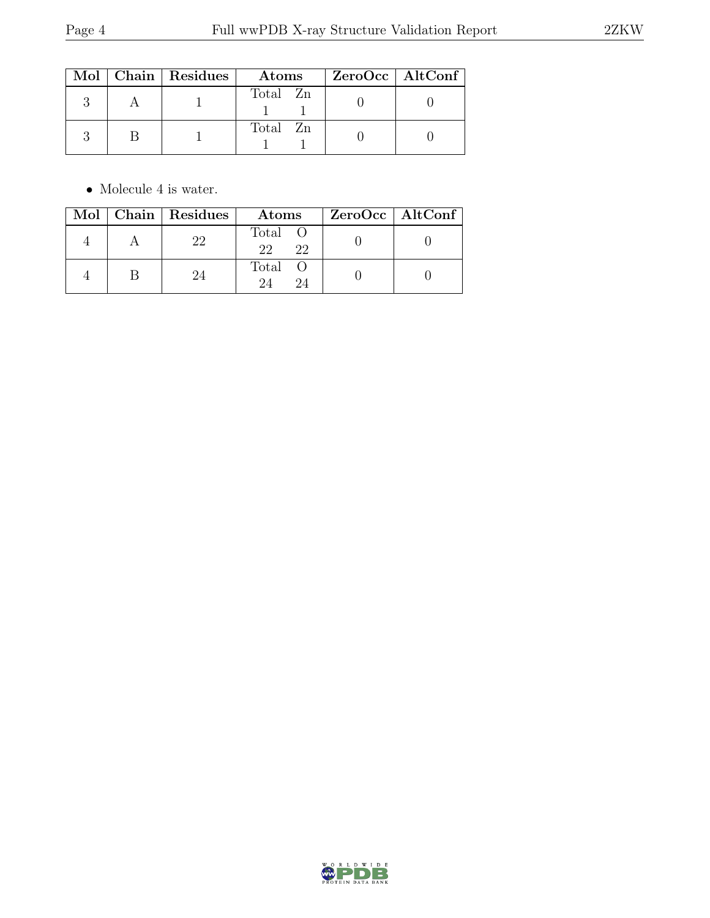|  | Mol   Chain   Residues | Atoms    | ZeroOcc   AltConf |  |
|--|------------------------|----------|-------------------|--|
|  |                        | Total Zn |                   |  |
|  |                        | Total Zn |                   |  |

 $\bullet\,$  Molecule 4 is water.

|  | Mol   Chain   Residues | Atoms               | $ZeroOcc \   \$ AltConf |
|--|------------------------|---------------------|-------------------------|
|  |                        | Total O<br>22<br>22 |                         |
|  | 94                     | Total O<br>24<br>24 |                         |

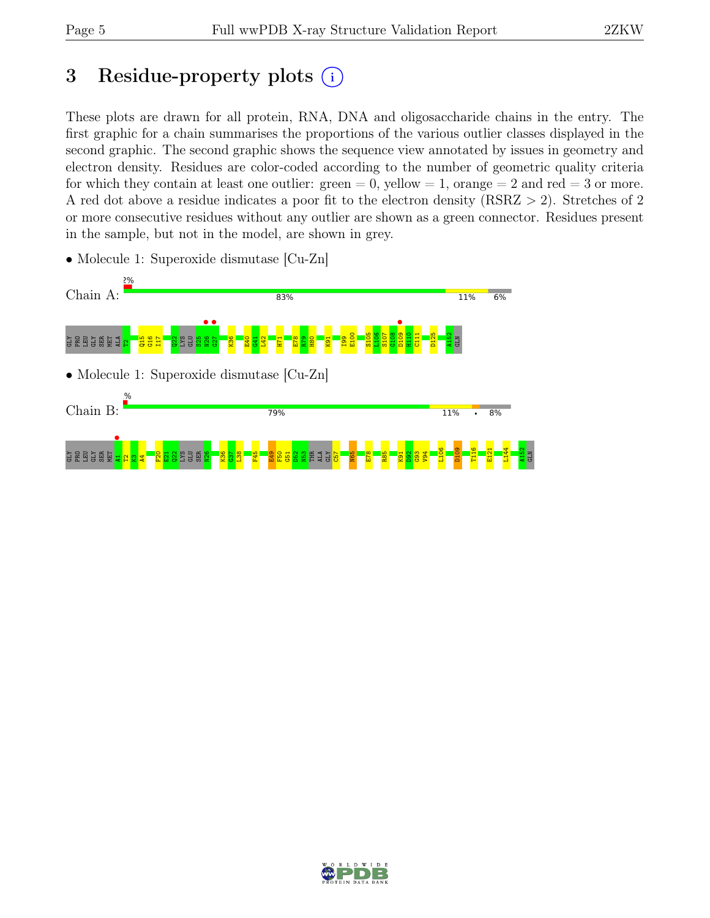# 3 Residue-property plots  $(i)$

These plots are drawn for all protein, RNA, DNA and oligosaccharide chains in the entry. The first graphic for a chain summarises the proportions of the various outlier classes displayed in the second graphic. The second graphic shows the sequence view annotated by issues in geometry and electron density. Residues are color-coded according to the number of geometric quality criteria for which they contain at least one outlier:  $green = 0$ , yellow  $= 1$ , orange  $= 2$  and red  $= 3$  or more. A red dot above a residue indicates a poor fit to the electron density (RSRZ > 2). Stretches of 2 or more consecutive residues without any outlier are shown as a green connector. Residues present in the sample, but not in the model, are shown in grey.



• Molecule 1: Superoxide dismutase [Cu-Zn]

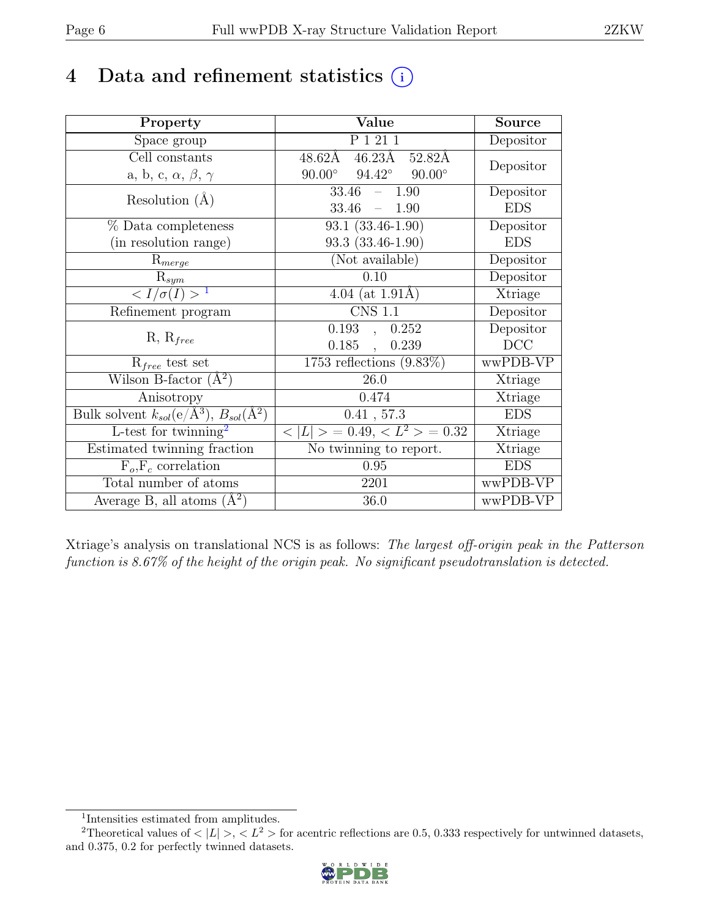# 4 Data and refinement statistics  $(i)$

| Property                                                                  | Value                                                 | <b>Source</b>  |
|---------------------------------------------------------------------------|-------------------------------------------------------|----------------|
| Space group                                                               | P 1 21 1                                              | Depositor      |
| $\overline{Cell}$ constants                                               | $48.62\text{\AA}$ $46.23\text{\AA}$ $52.82\text{\AA}$ |                |
| a, b, c, $\alpha$ , $\beta$ , $\gamma$                                    | $90.00^\circ$<br>$94.42^\circ$<br>$90.00^\circ$       | Depositor      |
| Resolution $(A)$                                                          | 33.46<br>1.90<br>$\equiv$ .                           | Depositor      |
|                                                                           | 33.46<br>$-1.90$                                      | <b>EDS</b>     |
| % Data completeness                                                       | 93.1 (33.46-1.90)                                     | Depositor      |
| (in resolution range)                                                     | 93.3 (33.46-1.90)                                     | <b>EDS</b>     |
| $R_{merge}$                                                               | (Not available)                                       | Depositor      |
| $\mathrm{R}_{sym}$                                                        | 0.10                                                  | Depositor      |
| $\langle I/\sigma(I) \rangle$ <sup>1</sup>                                | 4.04 (at $1.91\text{\AA}$ )                           | Xtriage        |
| Refinement program                                                        | $\overline{\text{CNS} 1.1}$                           | Depositor      |
| $R, R_{free}$                                                             | 0.193<br>0.252<br>$\overline{a}$                      | Depositor      |
|                                                                           | $0.185$ ,<br>0.239                                    | DCC            |
| $R_{free}$ test set                                                       | 1753 reflections $(9.83\%)$                           | wwPDB-VP       |
| Wilson B-factor $(\AA^2)$                                                 | 26.0                                                  | Xtriage        |
| Anisotropy                                                                | 0.474                                                 | Xtriage        |
| Bulk solvent $k_{sol}(\mathrm{e}/\mathrm{A}^3)$ , $B_{sol}(\mathrm{A}^2)$ | 0.41, 57.3                                            | <b>EDS</b>     |
| L-test for $\mathrm{twinning}^2$                                          | $< L >$ = 0.49, $< L^2 >$ = 0.32                      | <b>Xtriage</b> |
| Estimated twinning fraction                                               | No twinning to report.                                | Xtriage        |
| $\overline{F_o,F_c}$ correlation                                          | 0.95                                                  | <b>EDS</b>     |
| Total number of atoms                                                     | 2201                                                  | wwPDB-VP       |
| Average B, all atoms $(A^2)$                                              | 36.0                                                  | wwPDB-VP       |

Xtriage's analysis on translational NCS is as follows: The largest off-origin peak in the Patterson function is 8.67% of the height of the origin peak. No significant pseudotranslation is detected.

<sup>&</sup>lt;sup>2</sup>Theoretical values of  $\langle |L| \rangle$ ,  $\langle L^2 \rangle$  for acentric reflections are 0.5, 0.333 respectively for untwinned datasets, and 0.375, 0.2 for perfectly twinned datasets.



<span id="page-5-1"></span><span id="page-5-0"></span><sup>1</sup> Intensities estimated from amplitudes.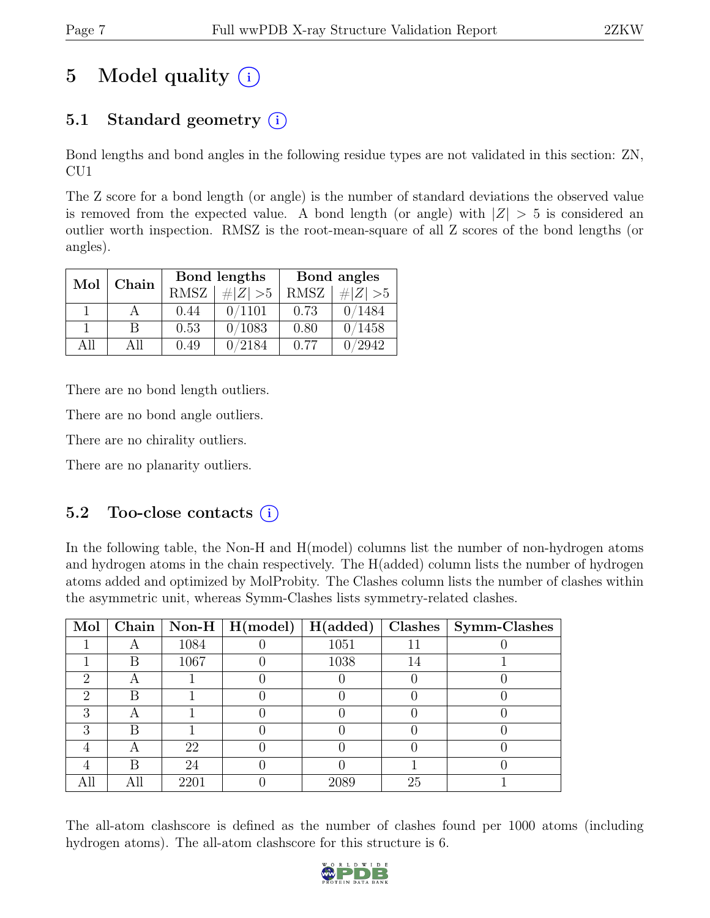# 5 Model quality  $(i)$

## 5.1 Standard geometry  $(i)$

Bond lengths and bond angles in the following residue types are not validated in this section: ZN, CU1

The Z score for a bond length (or angle) is the number of standard deviations the observed value is removed from the expected value. A bond length (or angle) with  $|Z| > 5$  is considered an outlier worth inspection. RMSZ is the root-mean-square of all Z scores of the bond lengths (or angles).

| Mol  | Chain |             | Bond lengths | Bond angles |             |  |
|------|-------|-------------|--------------|-------------|-------------|--|
|      |       | <b>RMSZ</b> | $\# Z  > 5$  | <b>RMSZ</b> | # $ Z  > 5$ |  |
|      |       | 0.44        | 0/1101       | 0.73        | 0/1484      |  |
|      | В     | 0.53        | 0/1083       | 0.80        | 0/1458      |  |
| A 11 | All   | 0.49        | 0/2184       | 0.77        | 2942        |  |

There are no bond length outliers.

There are no bond angle outliers.

There are no chirality outliers.

There are no planarity outliers.

### 5.2 Too-close contacts  $(i)$

In the following table, the Non-H and H(model) columns list the number of non-hydrogen atoms and hydrogen atoms in the chain respectively. The H(added) column lists the number of hydrogen atoms added and optimized by MolProbity. The Clashes column lists the number of clashes within the asymmetric unit, whereas Symm-Clashes lists symmetry-related clashes.

| Mol |     |      | Chain   Non-H   $H$ (model)   $H$ (added) |      |    | $Clashes$   Symm-Clashes |
|-----|-----|------|-------------------------------------------|------|----|--------------------------|
|     |     | 1084 |                                           | 1051 |    |                          |
|     | B   | 1067 |                                           | 1038 | 14 |                          |
| ٠,  |     |      |                                           |      |    |                          |
| റ   | R   |      |                                           |      |    |                          |
| 3   |     |      |                                           |      |    |                          |
| 3   | R   |      |                                           |      |    |                          |
|     |     | 22   |                                           |      |    |                          |
|     | R   | 24   |                                           |      |    |                          |
| All | All | 2201 |                                           | 2089 | 25 |                          |

The all-atom clashscore is defined as the number of clashes found per 1000 atoms (including hydrogen atoms). The all-atom clashscore for this structure is 6.

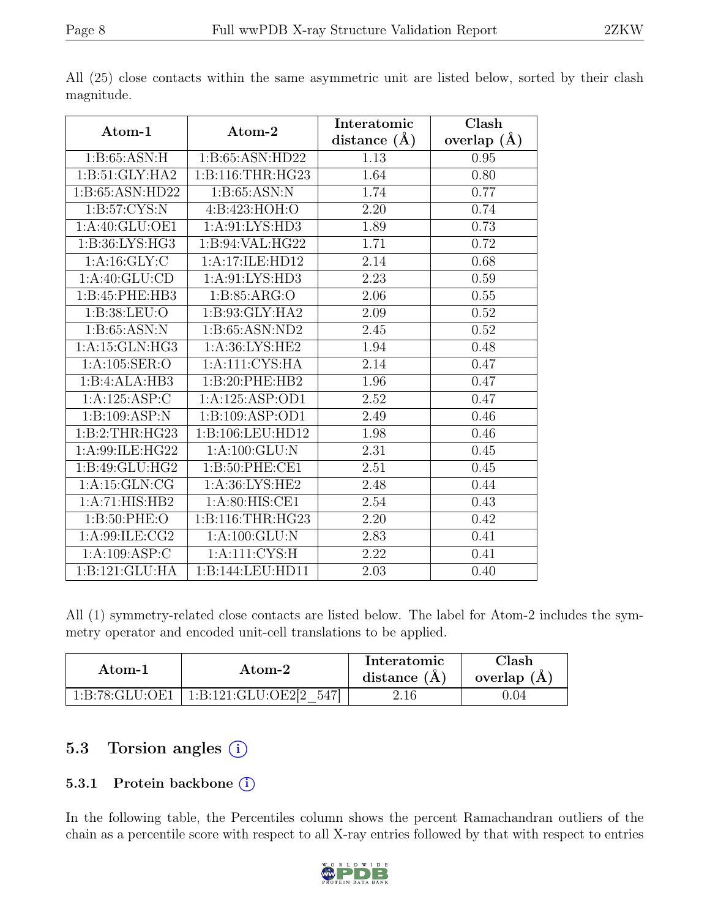|                           |                   | Interatomic    | Clash             |
|---------------------------|-------------------|----------------|-------------------|
| $\rm{Atom-1}$             | Atom-2            | distance $(A)$ | overlap $(\AA)$   |
| $1:B:65:\overline{ASN:H}$ | 1:B:65:ASN:HD22   | 1.13           | 0.95              |
| 1: B:51: GLY: HA2         | 1:B:116:THR:HG23  | 1.64           | $\overline{0.80}$ |
| 1:B:65:ASN:HD22           | 1: B:65:ASN:N     | 1.74           | 0.77              |
| 1: B:57: CYS:N            | 4:B:423:HOH:O     | 2.20           | 0.74              |
| 1: A:40: GLU:OE1          | 1: A:91: LYS: HD3 | 1.89           | 0.73              |
| 1: B:36: LYS: HG3         | 1:B:94:VAL:HG22   | 1.71           | 0.72              |
| 1: A: 16: GLY: C          | 1:A:17:ILE:HD12   | 2.14           | 0.68              |
| 1:A:40:GLU:CD             | 1: A:91: LYS: HD3 | 2.23           | 0.59              |
| 1:B:45:PHE:HB3            | 1: B: 85: ARG: O  | 2.06           | 0.55              |
| 1:B:38:LEU:O              | 1:B:93:GLY:HA2    | 2.09           | 0.52              |
| 1:B:65:ASN:N              | 1:B:65:ASN:ND2    | 2.45           | 0.52              |
| 1:A:15:GLN:HG3            | 1:A:36:LYS:HE2    | 1.94           | 0.48              |
| 1: A:105: SER:O           | 1: A:111:CYS:HA   | 2.14           | 0.47              |
| 1:B:4:ALA:HB3             | 1:B:20:PHE:HB2    | 1.96           | 0.47              |
| 1:A:125:ASP:C             | 1:A:125:ASP:OD1   | 2.52           | 0.47              |
| 1:B:109:ASP:N             | 1:B:109:ASP:OD1   | 2.49           | 0.46              |
| 1: B:2:THR:HG23           | 1:B:106:LEU:HD12  | 1.98           | 0.46              |
| 1:A:99:ILE:HG22           | 1: A:100: GLU: N  | 2.31           | 0.45              |
| 1:B:49:GLU:HG2            | 1:B:50:PHE:CE1    | 2.51           | 0.45              |
| 1:A:15:GLN:CG             | 1: A:36: LYS: HE2 | 2.48           | 0.44              |
| 1:A:71:HIS:HB2            | 1: A:80: HIS: CE1 | 2.54           | 0.43              |
| 1: B:50: PHE:O            | 1:B:116:THR:HG23  | 2.20           | 0.42              |
| 1:A:99:ILE:CG2            | 1:A:100:GLU:N     | 2.83           | 0.41              |
| 1:A:109:ASP:C             | 1:A:111:CYS:H     | 2.22           | 0.41              |
| 1: B: 121: GLU: HA        | 1:B:144:LEU:HD11  | 2.03           | 0.40              |

All (25) close contacts within the same asymmetric unit are listed below, sorted by their clash magnitude.

All (1) symmetry-related close contacts are listed below. The label for Atom-2 includes the symmetry operator and encoded unit-cell translations to be applied.

| Atom-1           | Atom-2                    | Interatomic<br>distance $(A)$ | Clash<br>overlap $(A)$ |  |
|------------------|---------------------------|-------------------------------|------------------------|--|
| 1: B:78: GLU:OE1 | 1:B:121:GLU:OE2[2]<br>547 | $2.16\,$                      | 0.04                   |  |

## 5.3 Torsion angles (i)

### 5.3.1 Protein backbone (i)

In the following table, the Percentiles column shows the percent Ramachandran outliers of the chain as a percentile score with respect to all X-ray entries followed by that with respect to entries

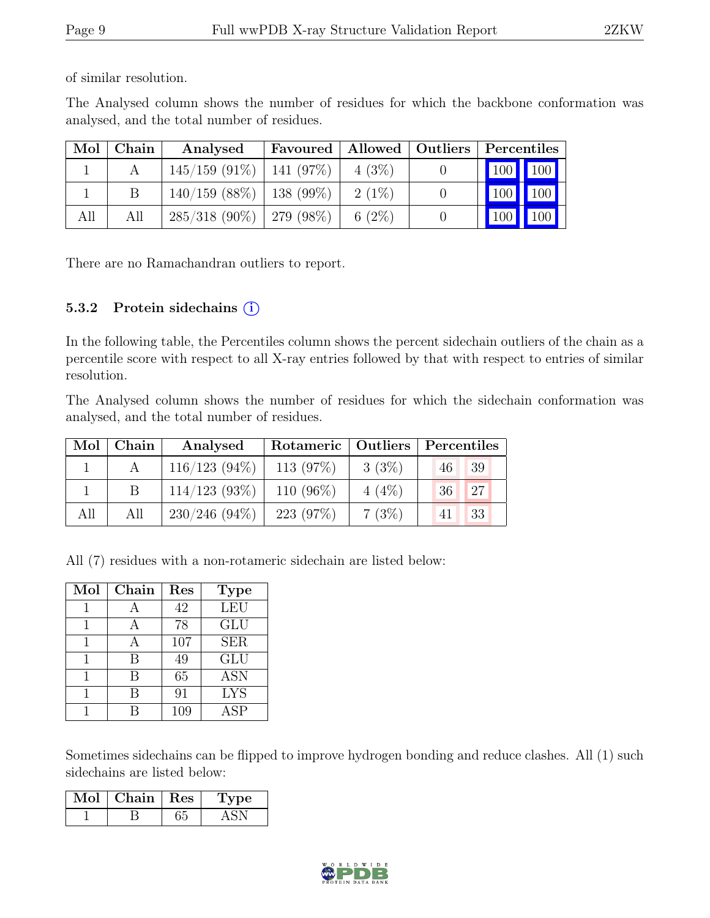of similar resolution.

The Analysed column shows the number of residues for which the backbone conformation was analysed, and the total number of residues.

| Mol | Chain | Analysed                      | Favoured   Allowed   Outliers   Percentiles |           |  |                                 |
|-----|-------|-------------------------------|---------------------------------------------|-----------|--|---------------------------------|
|     |       | $145/159$ (91\%)   141 (97\%) |                                             | $4(3\%)$  |  | 100 100                         |
|     |       | $140/159$ (88\%)   138 (99\%) |                                             | $2(1\%)$  |  | 100 100                         |
| All | All   | $285/318$ (90%)   279 (98%)   |                                             | 6 $(2\%)$ |  | $\vert$ 100 $\vert$ 100 $\vert$ |

There are no Ramachandran outliers to report.

#### 5.3.2 Protein sidechains  $(i)$

In the following table, the Percentiles column shows the percent sidechain outliers of the chain as a percentile score with respect to all X-ray entries followed by that with respect to entries of similar resolution.

The Analysed column shows the number of residues for which the sidechain conformation was analysed, and the total number of residues.

| Mol | Chain | Analysed         |              | Rotameric   Outliers   Percentiles |    |    |
|-----|-------|------------------|--------------|------------------------------------|----|----|
|     |       | $116/123(94\%)$  | 113 $(97%)$  | 3(3%)                              | 46 | 39 |
|     |       | $114/123$ (93\%) | 110 $(96\%)$ | $4(4\%)$                           | 36 | 27 |
| All | All   | $230/246(94\%)$  | 223(97%)     | 7(3%)                              | 41 | 33 |

All (7) residues with a non-rotameric sidechain are listed below:

| Mol | Chain | Res | <b>Type</b> |
|-----|-------|-----|-------------|
|     |       | 42  | LEU         |
|     |       | 78  | GLU         |
|     | А     | 107 | <b>SER</b>  |
|     | В     | 49  | <b>GLU</b>  |
|     | В     | 65  | <b>ASN</b>  |
|     | R     | 91  | <b>LYS</b>  |
|     |       | 109 | ASP         |

Sometimes sidechains can be flipped to improve hydrogen bonding and reduce clashes. All (1) such sidechains are listed below:

| Mol | Chain | Res | рe |
|-----|-------|-----|----|
|     |       |     |    |

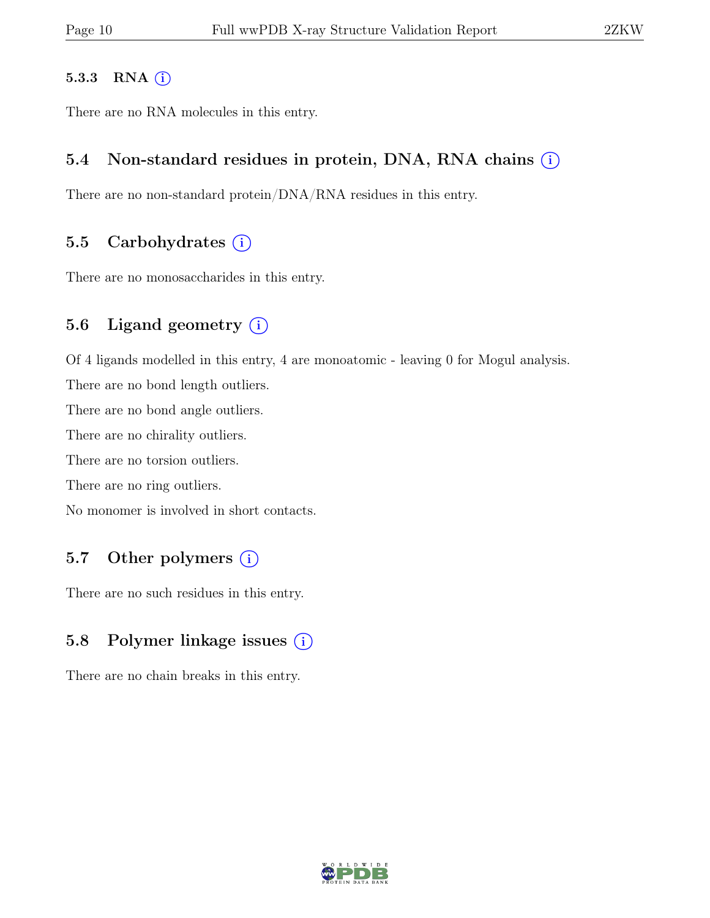#### 5.3.3 RNA  $(i)$

There are no RNA molecules in this entry.

### 5.4 Non-standard residues in protein, DNA, RNA chains  $(i)$

There are no non-standard protein/DNA/RNA residues in this entry.

### 5.5 Carbohydrates  $(i)$

There are no monosaccharides in this entry.

### 5.6 Ligand geometry  $(i)$

Of 4 ligands modelled in this entry, 4 are monoatomic - leaving 0 for Mogul analysis.

There are no bond length outliers.

There are no bond angle outliers.

There are no chirality outliers.

There are no torsion outliers.

There are no ring outliers.

No monomer is involved in short contacts.

### 5.7 Other polymers (i)

There are no such residues in this entry.

### 5.8 Polymer linkage issues  $(i)$

There are no chain breaks in this entry.

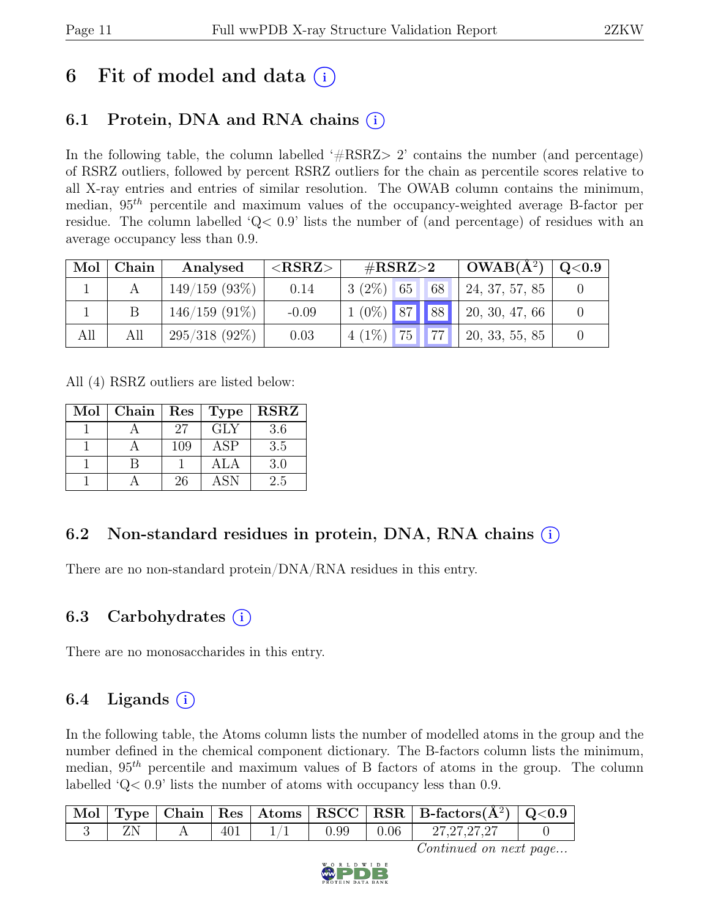# 6 Fit of model and data  $(i)$

## 6.1 Protein, DNA and RNA chains  $(i)$

In the following table, the column labelled  $#RSRZ>2$  contains the number (and percentage) of RSRZ outliers, followed by percent RSRZ outliers for the chain as percentile scores relative to all X-ray entries and entries of similar resolution. The OWAB column contains the minimum, median,  $95<sup>th</sup>$  percentile and maximum values of the occupancy-weighted average B-factor per residue. The column labelled ' $Q<.9$ ' lists the number of (and percentage) of residues with an average occupancy less than 0.9.

|     | Mol   Chain | Analysed         | ${ <\hspace{-1.5pt}{\mathrm{RSRZ}} \hspace{-1.5pt}>}$ | # $RSRZ>2$     |                                 | $\perp$ OWAB( $\rm \AA^2) \perp$ | Q <sub>0.9</sub> |
|-----|-------------|------------------|-------------------------------------------------------|----------------|---------------------------------|----------------------------------|------------------|
|     |             | $149/159$ (93\%) | 0.14                                                  | $3(2\%)$ 65    | $168$ <sup><math>+</math></sup> | 124, 37, 57, 85                  |                  |
|     |             | $146/159$ (91%)  | $-0.09$                                               |                |                                 | $1(0\%)$ 87 88 20, 30, 47, 66    |                  |
| All | All         | $295/318(92\%)$  | 0.03                                                  | $4(1\%)$ 75 77 |                                 | $\vert$ 20, 33, 55, 85           |                  |

All (4) RSRZ outliers are listed below:

| Mol | Chain | $\operatorname{Res}$ | <b>Type</b>      | <b>RSRZ</b> |
|-----|-------|----------------------|------------------|-------------|
|     |       | 27                   | <b>GLY</b>       | 3.6         |
|     |       | 109                  | <b>ASP</b>       | 3.5         |
|     |       |                      | A <sub>L</sub> A | 3.0         |
|     |       | 26                   | <b>ASN</b>       | 2.5         |

## 6.2 Non-standard residues in protein, DNA, RNA chains (i)

There are no non-standard protein/DNA/RNA residues in this entry.

## 6.3 Carbohydrates  $(i)$

There are no monosaccharides in this entry.

## 6.4 Ligands  $(i)$

In the following table, the Atoms column lists the number of modelled atoms in the group and the number defined in the chemical component dictionary. The B-factors column lists the minimum, median,  $95<sup>th</sup>$  percentile and maximum values of B factors of atoms in the group. The column labelled  $\sqrt{Q}$  ( $Q$ ,  $\sqrt{Q}$ ) lists the number of atoms with occupancy less than 0.9.

| $\mid$ Mol $\mid$ |  |     |      |                    | Type   Chain   Res   Atoms   RSCC   RSR   B-factors $(\AA^2)$   Q<0.9 |  |
|-------------------|--|-----|------|--------------------|-----------------------------------------------------------------------|--|
|                   |  | 401 | 0.99 | $\vert 0.06 \vert$ | 27,27,27,27                                                           |  |

Continued on next page...